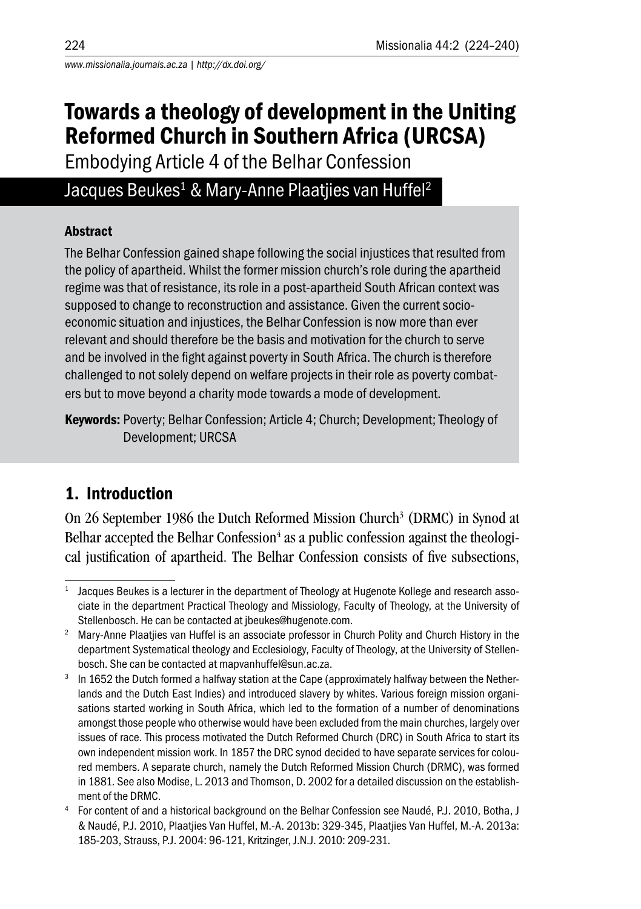# Towards a theology of development in the Uniting Reformed Church in Southern Africa (URCSA)

Embodying Article 4 of the Belhar Confession

## Jacques Beukes<sup>1</sup> & Mary-Anne Plaatjies van Huffel<sup>2</sup>

#### Abstract

The Belhar Confession gained shape following the social injustices that resulted from the policy of apartheid. Whilst the former mission church's role during the apartheid regime was that of resistance, its role in a post-apartheid South African context was supposed to change to reconstruction and assistance. Given the current socioeconomic situation and injustices, the Belhar Confession is now more than ever relevant and should therefore be the basis and motivation for the church to serve and be involved in the fight against poverty in South Africa. The church is therefore challenged to not solely depend on welfare projects in their role as poverty combaters but to move beyond a charity mode towards a mode of development.

Keywords: Poverty; Belhar Confession; Article 4; Church; Development; Theology of Development; URCSA

# 1. Introduction

On 26 September 1986 the Dutch Reformed Mission Church<sup>3</sup> (DRMC) in Synod at Belhar accepted the Belhar Confession<sup>4</sup> as a public confession against the theological justification of apartheid. The Belhar Confession consists of five subsections,

<sup>&</sup>lt;sup>1</sup> Jacques Beukes is a lecturer in the department of Theology at Hugenote Kollege and research associate in the department Practical Theology and Missiology, Faculty of Theology, at the University of Stellenbosch. He can be contacted at jbeukes@hugenote.com.

<sup>&</sup>lt;sup>2</sup> Mary-Anne Plaatjies van Huffel is an associate professor in Church Polity and Church History in the department Systematical theology and Ecclesiology, Faculty of Theology, at the University of Stellenbosch. She can be contacted at mapvanhuffel@sun.ac.za.

<sup>&</sup>lt;sup>3</sup> In 1652 the Dutch formed a halfway station at the Cape (approximately halfway between the Netherlands and the Dutch East Indies) and introduced slavery by whites. Various foreign mission organisations started working in South Africa, which led to the formation of a number of denominations amongst those people who otherwise would have been excluded from the main churches, largely over issues of race. This process motivated the Dutch Reformed Church (DRC) in South Africa to start its own independent mission work. In 1857 the DRC synod decided to have separate services for coloured members. A separate church, namely the Dutch Reformed Mission Church (DRMC), was formed in 1881. See also Modise, L. 2013 and Thomson, D. 2002 for a detailed discussion on the establish-

ment of the DRMC.<br>For content of and a historical background on the Belhar Confession see Naudé, P.J. 2010, Botha, J & Naudé, P.J. 2010, Plaatjies Van Huffel, M.-A. 2013b: 329-345, Plaatjies Van Huffel, M.-A. 2013a: 185-203, Strauss, P.J. 2004: 96-121, Kritzinger, J.N.J. 2010: 209-231.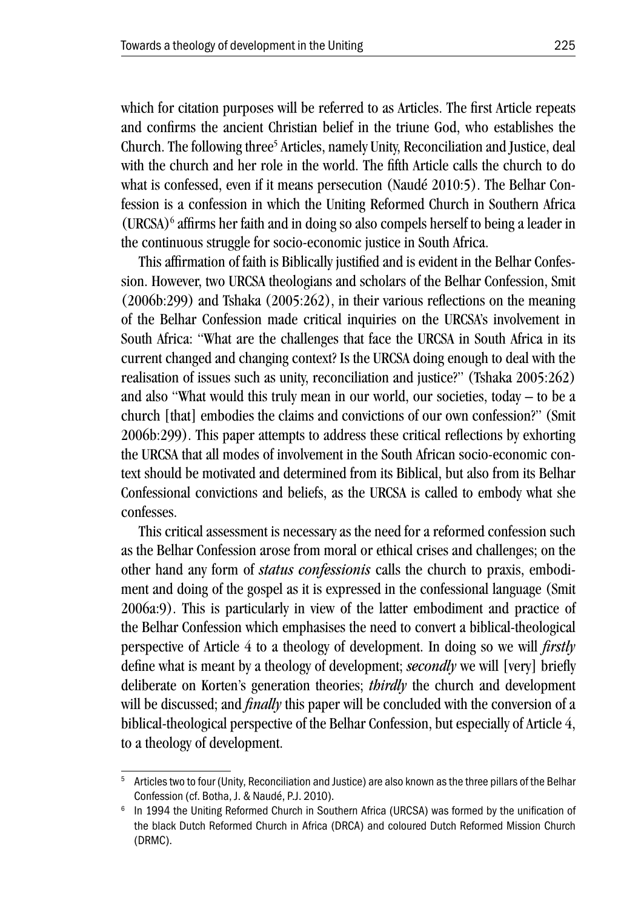which for citation purposes will be referred to as Articles. The first Article repeats and confirms the ancient Christian belief in the triune God, who establishes the Church. The following three<sup>5</sup> Articles, namely Unity, Reconciliation and Justice, deal with the church and her role in the world. The fifth Article calls the church to do what is confessed, even if it means persecution (Naudé 2010:5). The Belhar Confession is a confession in which the Uniting Reformed Church in Southern Africa (URCSA)6 affirms her faith and in doing so also compels herself to being a leader in the continuous struggle for socio-economic justice in South Africa.

This affirmation of faith is Biblically justified and is evident in the Belhar Confession. However, two URCSA theologians and scholars of the Belhar Confession, Smit (2006b:299) and Tshaka (2005:262), in their various reflections on the meaning of the Belhar Confession made critical inquiries on the URCSA's involvement in South Africa: "What are the challenges that face the URCSA in South Africa in its current changed and changing context? Is the URCSA doing enough to deal with the realisation of issues such as unity, reconciliation and justice?" (Tshaka 2005:262) and also "What would this truly mean in our world, our societies, today – to be a church [that] embodies the claims and convictions of our own confession?" (Smit 2006b:299). This paper attempts to address these critical reflections by exhorting the URCSA that all modes of involvement in the South African socio-economic context should be motivated and determined from its Biblical, but also from its Belhar Confessional convictions and beliefs, as the URCSA is called to embody what she confesses.

This critical assessment is necessary as the need for a reformed confession such as the Belhar Confession arose from moral or ethical crises and challenges; on the other hand any form of *status confessionis* calls the church to praxis, embodiment and doing of the gospel as it is expressed in the confessional language (Smit 2006a:9). This is particularly in view of the latter embodiment and practice of the Belhar Confession which emphasises the need to convert a biblical-theological perspective of Article 4 to a theology of development. In doing so we will *firstly* define what is meant by a theology of development; *secondly* we will [very] briefly deliberate on Korten's generation theories; *thirdly* the church and development will be discussed; and *finally* this paper will be concluded with the conversion of a biblical-theological perspective of the Belhar Confession, but especially of Article 4, to a theology of development.

<sup>&</sup>lt;sup>5</sup> Articles two to four (Unity, Reconciliation and Justice) are also known as the three pillars of the Belhar Confession (cf. Botha, J. & Naudé, P.J. 2010). 6 In 1994 the Uniting Reformed Church in Southern Africa (URCSA) was formed by the unification of

the black Dutch Reformed Church in Africa (DRCA) and coloured Dutch Reformed Mission Church (DRMC).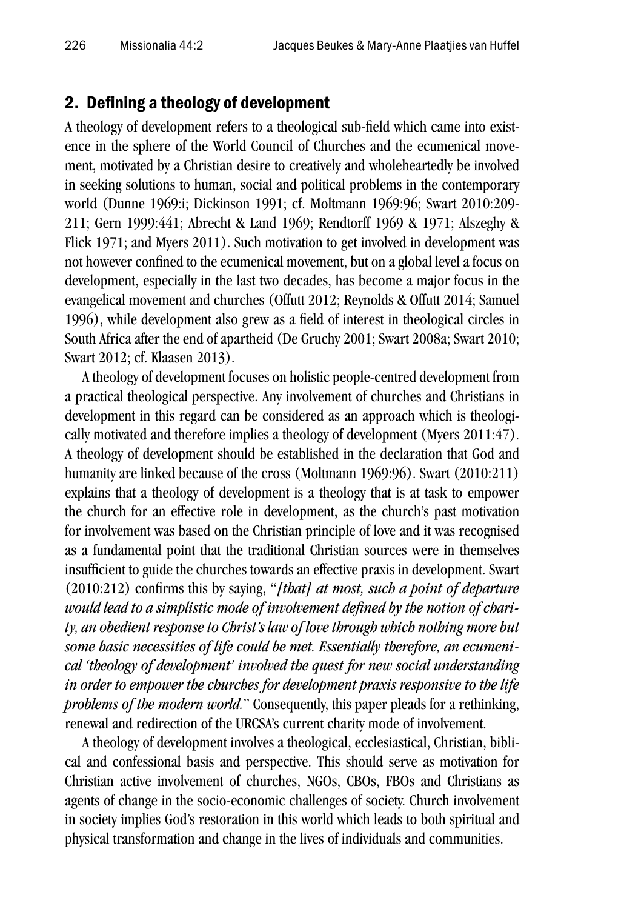#### 2. Defining a theology of development

A theology of development refers to a theological sub-field which came into existence in the sphere of the World Council of Churches and the ecumenical movement, motivated by a Christian desire to creatively and wholeheartedly be involved in seeking solutions to human, social and political problems in the contemporary world (Dunne 1969:i; Dickinson 1991; cf. Moltmann 1969:96; Swart 2010:209- 211; Gern 1999:441; Abrecht & Land 1969; Rendtorff 1969 & 1971; Alszeghy & Flick 1971; and Myers 2011). Such motivation to get involved in development was not however confined to the ecumenical movement, but on a global level a focus on development, especially in the last two decades, has become a major focus in the evangelical movement and churches (Offutt 2012; Reynolds & Offutt 2014; Samuel 1996), while development also grew as a field of interest in theological circles in South Africa after the end of apartheid (De Gruchy 2001; Swart 2008a; Swart 2010; Swart 2012; cf. Klaasen 2013).

A theology of development focuses on holistic people-centred development from a practical theological perspective. Any involvement of churches and Christians in development in this regard can be considered as an approach which is theologically motivated and therefore implies a theology of development (Myers 2011:47). A theology of development should be established in the declaration that God and humanity are linked because of the cross (Moltmann 1969:96). Swart (2010:211) explains that a theology of development is a theology that is at task to empower the church for an effective role in development, as the church's past motivation for involvement was based on the Christian principle of love and it was recognised as a fundamental point that the traditional Christian sources were in themselves insufficient to guide the churches towards an effective praxis in development. Swart (2010:212) confirms this by saying, "*[that] at most, such a point of departure would lead to a simplistic mode of involvement defined by the notion of charity, an obedient response to Christ's law of love through which nothing more but some basic necessities of life could be met. Essentially therefore, an ecumenical 'theology of development' involved the quest for new social understanding in order to empower the churches for development praxis responsive to the life problems of the modern world.*" Consequently, this paper pleads for a rethinking, renewal and redirection of the URCSA's current charity mode of involvement.

A theology of development involves a theological, ecclesiastical, Christian, biblical and confessional basis and perspective. This should serve as motivation for Christian active involvement of churches, NGOs, CBOs, FBOs and Christians as agents of change in the socio-economic challenges of society. Church involvement in society implies God's restoration in this world which leads to both spiritual and physical transformation and change in the lives of individuals and communities.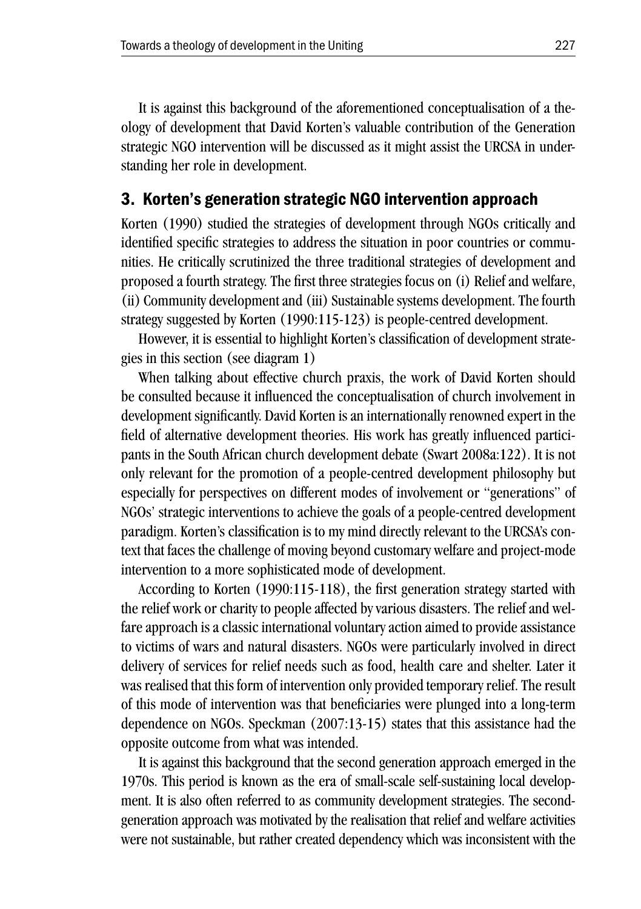It is against this background of the aforementioned conceptualisation of a theology of development that David Korten's valuable contribution of the Generation strategic NGO intervention will be discussed as it might assist the URCSA in understanding her role in development.

#### 3. Korten's generation strategic NGO intervention approach

Korten (1990) studied the strategies of development through NGOs critically and identified specific strategies to address the situation in poor countries or communities. He critically scrutinized the three traditional strategies of development and proposed a fourth strategy. The first three strategies focus on (i) Relief and welfare, (ii) Community development and (iii) Sustainable systems development. The fourth strategy suggested by Korten (1990:115-123) is people-centred development.

However, it is essential to highlight Korten's classification of development strategies in this section (see diagram 1)

When talking about effective church praxis, the work of David Korten should be consulted because it influenced the conceptualisation of church involvement in development significantly. David Korten is an internationally renowned expert in the field of alternative development theories. His work has greatly influenced participants in the South African church development debate (Swart 2008a:122). It is not only relevant for the promotion of a people-centred development philosophy but especially for perspectives on different modes of involvement or "generations" of NGOs' strategic interventions to achieve the goals of a people-centred development paradigm. Korten's classification is to my mind directly relevant to the URCSA's context that faces the challenge of moving beyond customary welfare and project-mode intervention to a more sophisticated mode of development.

According to Korten (1990:115-118), the first generation strategy started with the relief work or charity to people affected by various disasters. The relief and welfare approach is a classic international voluntary action aimed to provide assistance to victims of wars and natural disasters. NGOs were particularly involved in direct delivery of services for relief needs such as food, health care and shelter. Later it was realised that this form of intervention only provided temporary relief. The result of this mode of intervention was that beneficiaries were plunged into a long-term dependence on NGOs. Speckman (2007:13-15) states that this assistance had the opposite outcome from what was intended.

It is against this background that the second generation approach emerged in the 1970s. This period is known as the era of small-scale self-sustaining local development. It is also often referred to as community development strategies. The secondgeneration approach was motivated by the realisation that relief and welfare activities were not sustainable, but rather created dependency which was inconsistent with the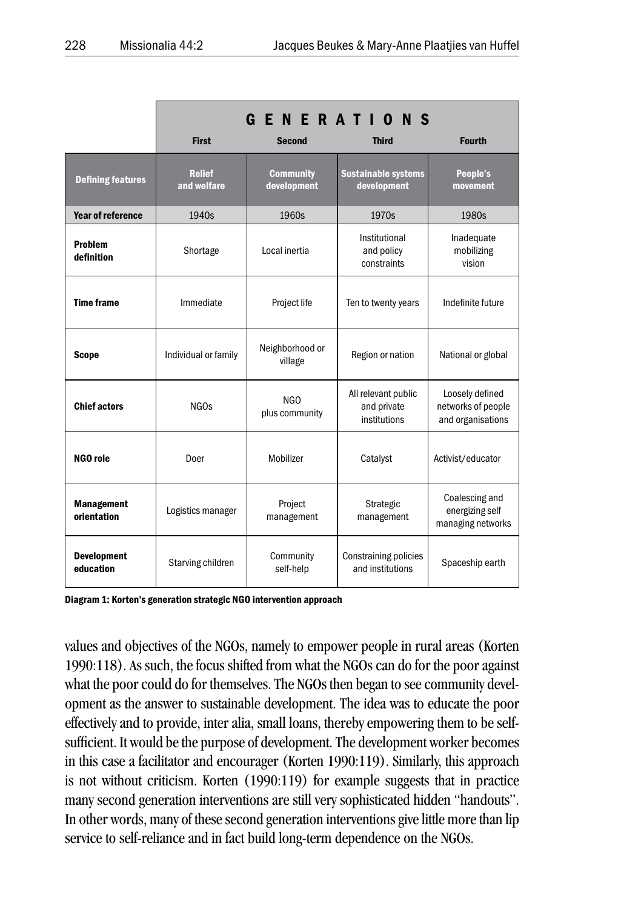|                                  | <b>GENERATIO</b><br>N S      |                                 |                                                    |                                                            |
|----------------------------------|------------------------------|---------------------------------|----------------------------------------------------|------------------------------------------------------------|
|                                  | <b>First</b>                 | <b>Second</b>                   | <b>Third</b>                                       | <b>Fourth</b>                                              |
| <b>Defining features</b>         | <b>Relief</b><br>and welfare | <b>Community</b><br>development | <b>Sustainable systems</b><br>development          | People's<br>movement                                       |
| <b>Year of reference</b>         | 1940s                        | 1960s                           | 1970s                                              | 1980s                                                      |
| Problem<br>definition            | Shortage                     | Local inertia                   | Institutional<br>and policy<br>constraints         | Inadequate<br>mobilizing<br>vision                         |
| <b>Time frame</b>                | Immediate                    | Project life                    | Ten to twenty years                                | Indefinite future                                          |
| <b>Scope</b>                     | Individual or family         | Neighborhood or<br>village      | Region or nation                                   | National or global                                         |
| <b>Chief actors</b>              | NGO <sub>s</sub>             | NGO<br>plus community           | All relevant public<br>and private<br>institutions | Loosely defined<br>networks of people<br>and organisations |
| NGO role                         | Doer                         | Mobilizer                       | Catalyst                                           | Activist/educator                                          |
| <b>Management</b><br>orientation | Logistics manager            | Project<br>management           | Strategic<br>management                            | Coalescing and<br>energizing self<br>managing networks     |
| <b>Development</b><br>education  | Starving children            | Community<br>self-help          | <b>Constraining policies</b><br>and institutions   | Spaceship earth                                            |

Diagram 1: Korten's generation strategic NGO intervention approach

values and objectives of the NGOs, namely to empower people in rural areas (Korten 1990:118). As such, the focus shifted from what the NGOs can do for the poor against what the poor could do for themselves. The NGOs then began to see community development as the answer to sustainable development. The idea was to educate the poor effectively and to provide, inter alia, small loans, thereby empowering them to be selfsufficient. It would be the purpose of development. The development worker becomes in this case a facilitator and encourager (Korten 1990:119). Similarly, this approach is not without criticism. Korten (1990:119) for example suggests that in practice many second generation interventions are still very sophisticated hidden "handouts". In other words, many of these second generation interventions give little more than lip service to self-reliance and in fact build long-term dependence on the NGOs.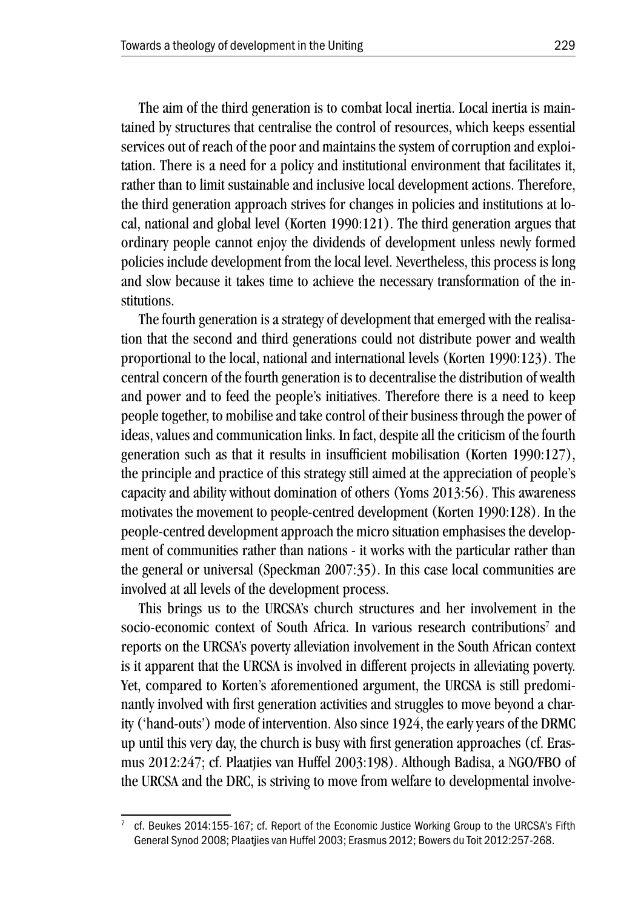The aim of the third generation is to combat local inertia. Local inertia is maintained by structures that centralise the control of resources, which keeps essential services out of reach of the poor and maintains the system of corruption and exploitation. There is a need for a policy and institutional environment that facilitates it, rather than to limit sustainable and inclusive local development actions. Therefore, the third generation approach strives for changes in policies and institutions at local, national and global level (Korten 1990:121). The third generation argues that ordinary people cannot enjoy the dividends of development unless newly formed policies include development from the local level. Nevertheless, this process is long and slow because it takes time to achieve the necessary transformation of the institutions.

The fourth generation is a strategy of development that emerged with the realisation that the second and third generations could not distribute power and wealth proportional to the local, national and international levels (Korten 1990:123). The central concern of the fourth generation is to decentralise the distribution of wealth and power and to feed the people's initiatives. Therefore there is a need to keep people together, to mobilise and take control of their business through the power of ideas, values and communication links. In fact, despite all the criticism of the fourth generation such as that it results in insufficient mobilisation (Korten 1990:127), the principle and practice of this strategy still aimed at the appreciation of people's capacity and ability without domination of others (Yoms 2013:56). This awareness motivates the movement to people-centred development (Korten 1990:128). In the people-centred development approach the micro situation emphasises the development of communities rather than nations - it works with the particular rather than the general or universal (Speckman 2007:35). In this case local communities are involved at all levels of the development process.

This brings us to the URCSA's church structures and her involvement in the socio-economic context of South Africa. In various research contributions<sup>7</sup> and reports on the URCSA's poverty alleviation involvement in the South African context is it apparent that the URCSA is involved in different projects in alleviating poverty. Yet, compared to Korten's aforementioned argument, the URCSA is still predominantly involved with first generation activities and struggles to move beyond a charity ('hand-outs') mode of intervention. Also since 1924, the early years of the DRMC up until this very day, the church is busy with first generation approaches (cf. Erasmus 2012:247; cf. Plaatjies van Huffel 2003:198). Although Badisa, a NGO/FBO of the URCSA and the DRC, is striving to move from welfare to developmental involve-

cf. Beukes 2014:155-167; cf. Report of the Economic Justice Working Group to the URCSA's Fifth General Synod 2008; Plaatjies van Huffel 2003; Erasmus 2012; Bowers du Toit 2012:257-268.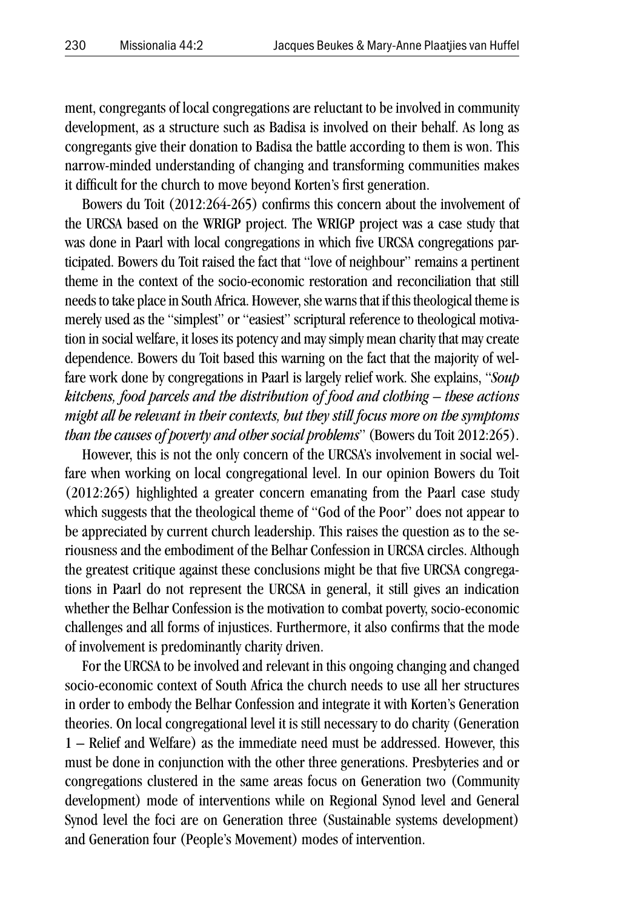ment, congregants of local congregations are reluctant to be involved in community development, as a structure such as Badisa is involved on their behalf. As long as congregants give their donation to Badisa the battle according to them is won. This narrow-minded understanding of changing and transforming communities makes it difficult for the church to move beyond Korten's first generation.

Bowers du Toit (2012:264-265) confirms this concern about the involvement of the URCSA based on the WRIGP project. The WRIGP project was a case study that was done in Paarl with local congregations in which five URCSA congregations participated. Bowers du Toit raised the fact that "love of neighbour" remains a pertinent theme in the context of the socio-economic restoration and reconciliation that still needs to take place in South Africa. However, she warns that if this theological theme is merely used as the "simplest" or "easiest" scriptural reference to theological motivation in social welfare, it loses its potency and may simply mean charity that may create dependence. Bowers du Toit based this warning on the fact that the majority of welfare work done by congregations in Paarl is largely relief work. She explains, "*Soup kitchens, food parcels and the distribution of food and clothing – these actions might all be relevant in their contexts, but they still focus more on the symptoms than the causes of poverty and other social problems*" (Bowers du Toit 2012:265).

However, this is not the only concern of the URCSA's involvement in social welfare when working on local congregational level. In our opinion Bowers du Toit (2012:265) highlighted a greater concern emanating from the Paarl case study which suggests that the theological theme of "God of the Poor" does not appear to be appreciated by current church leadership. This raises the question as to the seriousness and the embodiment of the Belhar Confession in URCSA circles. Although the greatest critique against these conclusions might be that five URCSA congregations in Paarl do not represent the URCSA in general, it still gives an indication whether the Belhar Confession is the motivation to combat poverty, socio-economic challenges and all forms of injustices. Furthermore, it also confirms that the mode of involvement is predominantly charity driven.

For the URCSA to be involved and relevant in this ongoing changing and changed socio-economic context of South Africa the church needs to use all her structures in order to embody the Belhar Confession and integrate it with Korten's Generation theories. On local congregational level it is still necessary to do charity (Generation 1 – Relief and Welfare) as the immediate need must be addressed. However, this must be done in conjunction with the other three generations. Presbyteries and or congregations clustered in the same areas focus on Generation two (Community development) mode of interventions while on Regional Synod level and General Synod level the foci are on Generation three (Sustainable systems development) and Generation four (People's Movement) modes of intervention.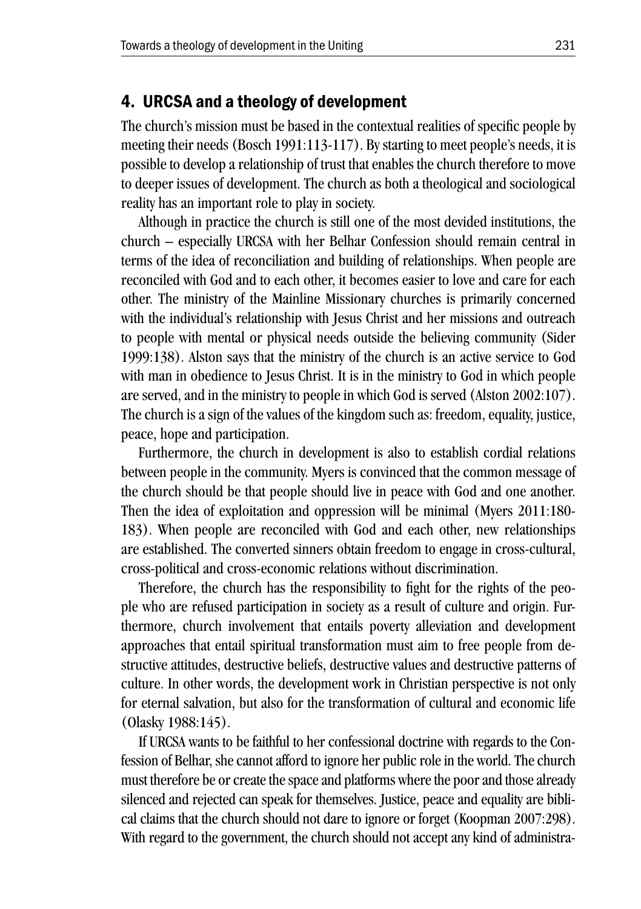### 4. URCSA and a theology of development

The church's mission must be based in the contextual realities of specific people by meeting their needs (Bosch 1991:113-117). By starting to meet people's needs, it is possible to develop a relationship of trust that enables the church therefore to move to deeper issues of development. The church as both a theological and sociological reality has an important role to play in society.

Although in practice the church is still one of the most devided institutions, the church – especially URCSA with her Belhar Confession should remain central in terms of the idea of reconciliation and building of relationships. When people are reconciled with God and to each other, it becomes easier to love and care for each other. The ministry of the Mainline Missionary churches is primarily concerned with the individual's relationship with Jesus Christ and her missions and outreach to people with mental or physical needs outside the believing community (Sider 1999:138). Alston says that the ministry of the church is an active service to God with man in obedience to Jesus Christ. It is in the ministry to God in which people are served, and in the ministry to people in which God is served (Alston 2002:107). The church is a sign of the values of the kingdom such as: freedom, equality, justice, peace, hope and participation.

Furthermore, the church in development is also to establish cordial relations between people in the community. Myers is convinced that the common message of the church should be that people should live in peace with God and one another. Then the idea of exploitation and oppression will be minimal (Myers 2011:180- 183). When people are reconciled with God and each other, new relationships are established. The converted sinners obtain freedom to engage in cross-cultural, cross-political and cross-economic relations without discrimination.

Therefore, the church has the responsibility to fight for the rights of the people who are refused participation in society as a result of culture and origin. Furthermore, church involvement that entails poverty alleviation and development approaches that entail spiritual transformation must aim to free people from destructive attitudes, destructive beliefs, destructive values and destructive patterns of culture. In other words, the development work in Christian perspective is not only for eternal salvation, but also for the transformation of cultural and economic life (Olasky 1988:145).

If URCSA wants to be faithful to her confessional doctrine with regards to the Confession of Belhar, she cannot afford to ignore her public role in the world. The church must therefore be or create the space and platforms where the poor and those already silenced and rejected can speak for themselves. Justice, peace and equality are biblical claims that the church should not dare to ignore or forget (Koopman 2007:298). With regard to the government, the church should not accept any kind of administra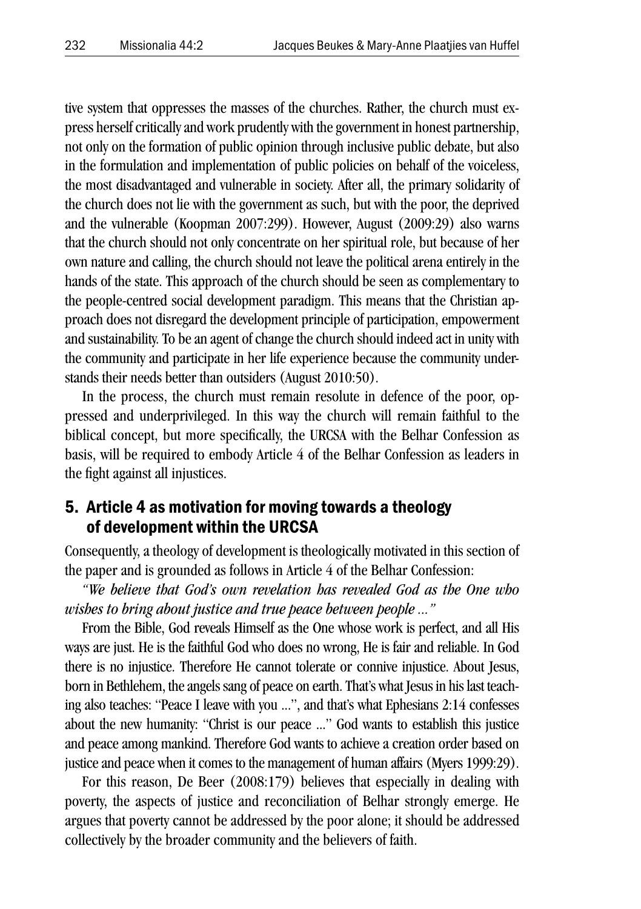tive system that oppresses the masses of the churches. Rather, the church must express herself critically and work prudently with the government in honest partnership, not only on the formation of public opinion through inclusive public debate, but also in the formulation and implementation of public policies on behalf of the voiceless, the most disadvantaged and vulnerable in society. After all, the primary solidarity of the church does not lie with the government as such, but with the poor, the deprived and the vulnerable (Koopman 2007:299). However, August (2009:29) also warns that the church should not only concentrate on her spiritual role, but because of her own nature and calling, the church should not leave the political arena entirely in the hands of the state. This approach of the church should be seen as complementary to the people-centred social development paradigm. This means that the Christian approach does not disregard the development principle of participation, empowerment and sustainability. To be an agent of change the church should indeed act in unity with the community and participate in her life experience because the community understands their needs better than outsiders (August 2010:50).

In the process, the church must remain resolute in defence of the poor, oppressed and underprivileged. In this way the church will remain faithful to the biblical concept, but more specifically, the URCSA with the Belhar Confession as basis, will be required to embody Article 4 of the Belhar Confession as leaders in the fight against all injustices.

### 5. Article 4 as motivation for moving towards a theology of development within the URCSA

Consequently, a theology of development is theologically motivated in this section of the paper and is grounded as follows in Article 4 of the Belhar Confession:

*"We believe that God's own revelation has revealed God as the One who wishes to bring about justice and true peace between people ..."* 

From the Bible, God reveals Himself as the One whose work is perfect, and all His ways are just. He is the faithful God who does no wrong, He is fair and reliable. In God there is no injustice. Therefore He cannot tolerate or connive injustice. About Jesus, born in Bethlehem, the angels sang of peace on earth. That's what Jesus in his last teaching also teaches: "Peace I leave with you ...", and that's what Ephesians 2:14 confesses about the new humanity: "Christ is our peace ..." God wants to establish this justice and peace among mankind. Therefore God wants to achieve a creation order based on justice and peace when it comes to the management of human affairs (Myers 1999:29).

For this reason, De Beer (2008:179) believes that especially in dealing with poverty, the aspects of justice and reconciliation of Belhar strongly emerge. He argues that poverty cannot be addressed by the poor alone; it should be addressed collectively by the broader community and the believers of faith.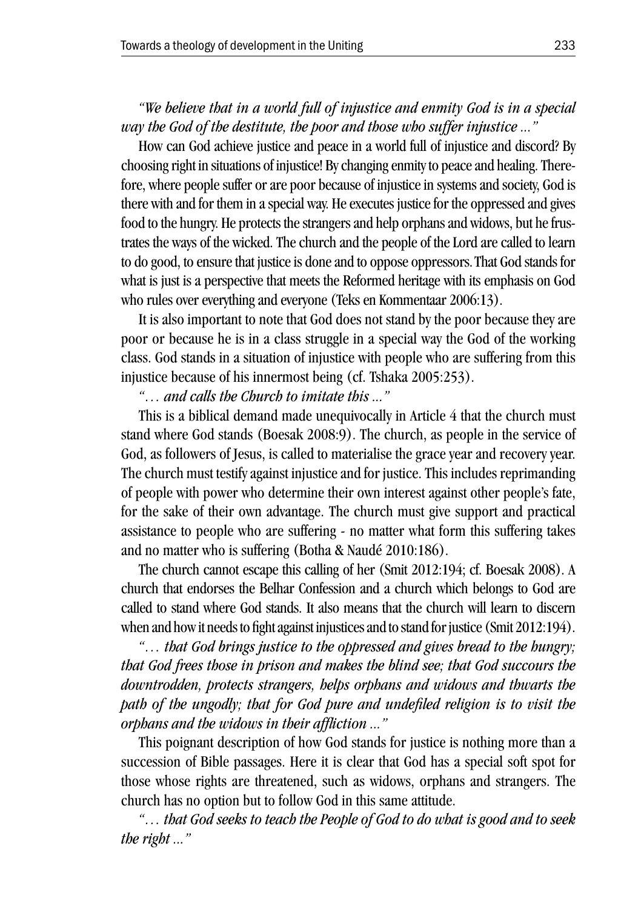*"We believe that in a world full of injustice and enmity God is in a special way the God of the destitute, the poor and those who suffer injustice ..."* 

How can God achieve justice and peace in a world full of injustice and discord? By choosing right in situations of injustice! By changing enmity to peace and healing. Therefore, where people suffer or are poor because of injustice in systems and society, God is there with and for them in a special way. He executes justice for the oppressed and gives food to the hungry. He protects the strangers and help orphans and widows, but he frustrates the ways of the wicked. The church and the people of the Lord are called to learn to do good, to ensure that justice is done and to oppose oppressors.That God stands for what is just is a perspective that meets the Reformed heritage with its emphasis on God who rules over everything and everyone (Teks en Kommentaar 2006:13).

It is also important to note that God does not stand by the poor because they are poor or because he is in a class struggle in a special way the God of the working class. God stands in a situation of injustice with people who are suffering from this injustice because of his innermost being (cf. Tshaka 2005:253).

*"… and calls the Church to imitate this ..."* 

This is a biblical demand made unequivocally in Article 4 that the church must stand where God stands (Boesak 2008:9). The church, as people in the service of God, as followers of Jesus, is called to materialise the grace year and recovery year. The church must testify against injustice and for justice. This includes reprimanding of people with power who determine their own interest against other people's fate, for the sake of their own advantage. The church must give support and practical assistance to people who are suffering - no matter what form this suffering takes and no matter who is suffering (Botha & Naudé 2010:186).

The church cannot escape this calling of her (Smit 2012:194; cf. Boesak 2008). A church that endorses the Belhar Confession and a church which belongs to God are called to stand where God stands. It also means that the church will learn to discern when and how it needs to fight against injustices and to stand for justice (Smit 2012:194).

*"… that God brings justice to the oppressed and gives bread to the hungry; that God frees those in prison and makes the blind see; that God succours the downtrodden, protects strangers, helps orphans and widows and thwarts the path of the ungodly; that for God pure and undefiled religion is to visit the orphans and the widows in their affliction ..."*

This poignant description of how God stands for justice is nothing more than a succession of Bible passages. Here it is clear that God has a special soft spot for those whose rights are threatened, such as widows, orphans and strangers. The church has no option but to follow God in this same attitude.

*"… that God seeks to teach the People of God to do what is good and to seek the right ..."*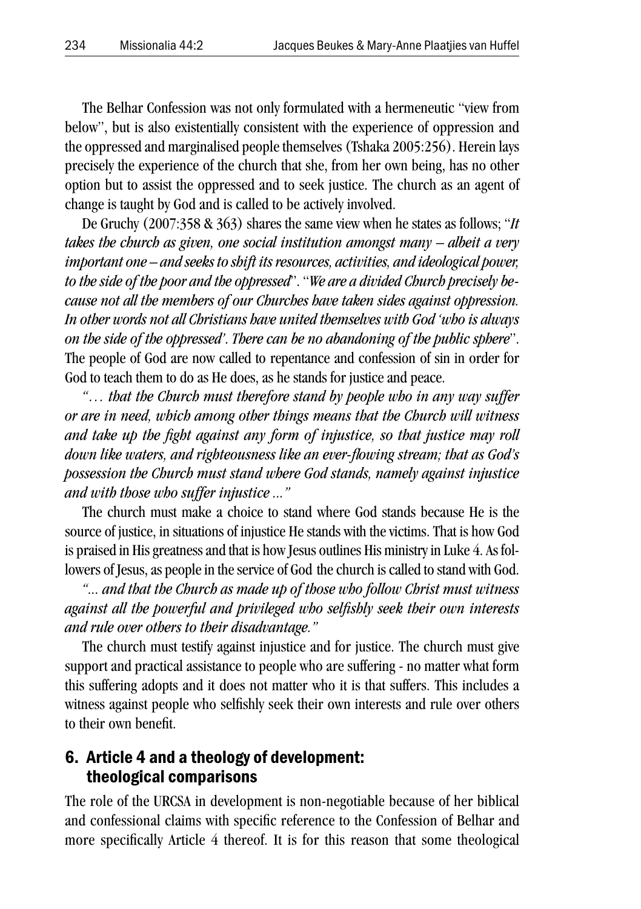The Belhar Confession was not only formulated with a hermeneutic "view from below", but is also existentially consistent with the experience of oppression and the oppressed and marginalised people themselves (Tshaka 2005:256). Herein lays precisely the experience of the church that she, from her own being, has no other option but to assist the oppressed and to seek justice. The church as an agent of change is taught by God and is called to be actively involved.

De Gruchy (2007:358 & 363) shares the same view when he states as follows; "*It takes the church as given, one social institution amongst many – albeit a very important one – and seeks to shift its resources, activities, and ideological power, to the side of the poor and the oppressed*". "*We are a divided Church precisely because not all the members of our Churches have taken sides against oppression. In other words not all Christians have united themselves with God 'who is always on the side of the oppressed'*. *There can be no abandoning of the public sphere*". The people of God are now called to repentance and confession of sin in order for God to teach them to do as He does, as he stands for justice and peace.

*"… that the Church must therefore stand by people who in any way suffer or are in need, which among other things means that the Church will witness and take up the fight against any form of injustice, so that justice may roll down like waters, and righteousness like an ever-flowing stream; that as God's possession the Church must stand where God stands, namely against injustice and with those who suffer injustice ..."* 

The church must make a choice to stand where God stands because He is the source of justice, in situations of injustice He stands with the victims. That is how God is praised in His greatness and that is how Jesus outlines His ministry in Luke 4. As followers of Jesus, as people in the service of God the church is called to stand with God.

*"... and that the Church as made up of those who follow Christ must witness against all the powerful and privileged who selfishly seek their own interests and rule over others to their disadvantage."* 

The church must testify against injustice and for justice. The church must give support and practical assistance to people who are suffering - no matter what form this suffering adopts and it does not matter who it is that suffers. This includes a witness against people who selfishly seek their own interests and rule over others to their own benefit.

### 6. Article 4 and a theology of development: theological comparisons

The role of the URCSA in development is non-negotiable because of her biblical and confessional claims with specific reference to the Confession of Belhar and more specifically Article 4 thereof. It is for this reason that some theological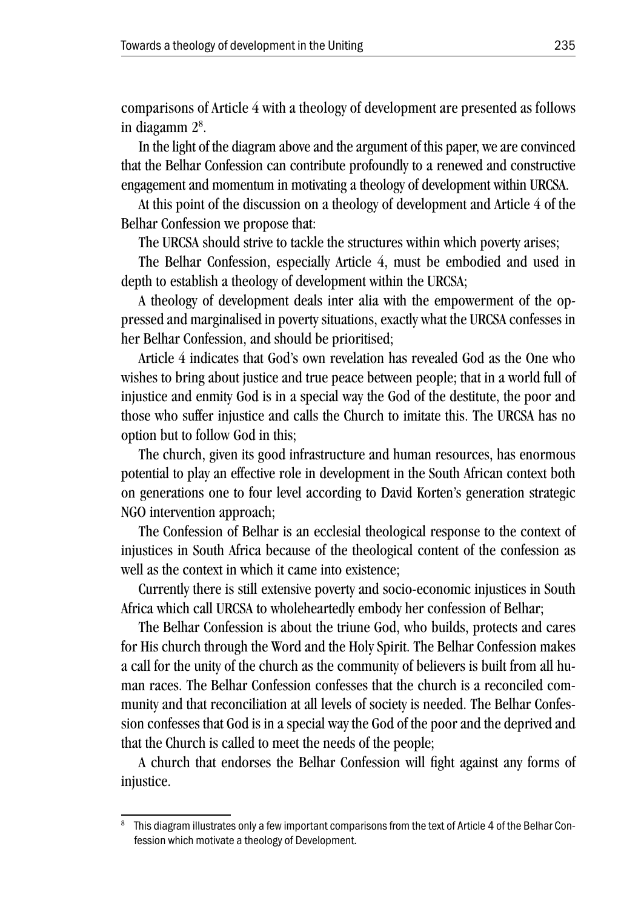comparisons of Article 4 with a theology of development are presented as follows in diagamm 28 .

In the light of the diagram above and the argument of this paper, we are convinced that the Belhar Confession can contribute profoundly to a renewed and constructive engagement and momentum in motivating a theology of development within URCSA.

At this point of the discussion on a theology of development and Article 4 of the Belhar Confession we propose that:

The URCSA should strive to tackle the structures within which poverty arises;

The Belhar Confession, especially Article 4, must be embodied and used in depth to establish a theology of development within the URCSA;

A theology of development deals inter alia with the empowerment of the oppressed and marginalised in poverty situations, exactly what the URCSA confesses in her Belhar Confession, and should be prioritised;

Article 4 indicates that God's own revelation has revealed God as the One who wishes to bring about justice and true peace between people; that in a world full of injustice and enmity God is in a special way the God of the destitute, the poor and those who suffer injustice and calls the Church to imitate this. The URCSA has no option but to follow God in this;

The church, given its good infrastructure and human resources, has enormous potential to play an effective role in development in the South African context both on generations one to four level according to David Korten's generation strategic NGO intervention approach;

The Confession of Belhar is an ecclesial theological response to the context of injustices in South Africa because of the theological content of the confession as well as the context in which it came into existence;

Currently there is still extensive poverty and socio-economic injustices in South Africa which call URCSA to wholeheartedly embody her confession of Belhar;

The Belhar Confession is about the triune God, who builds, protects and cares for His church through the Word and the Holy Spirit. The Belhar Confession makes a call for the unity of the church as the community of believers is built from all human races. The Belhar Confession confesses that the church is a reconciled community and that reconciliation at all levels of society is needed. The Belhar Confession confesses that God is in a special way the God of the poor and the deprived and that the Church is called to meet the needs of the people;

A church that endorses the Belhar Confession will fight against any forms of injustice.

This diagram illustrates only a few important comparisons from the text of Article 4 of the Belhar Confession which motivate a theology of Development.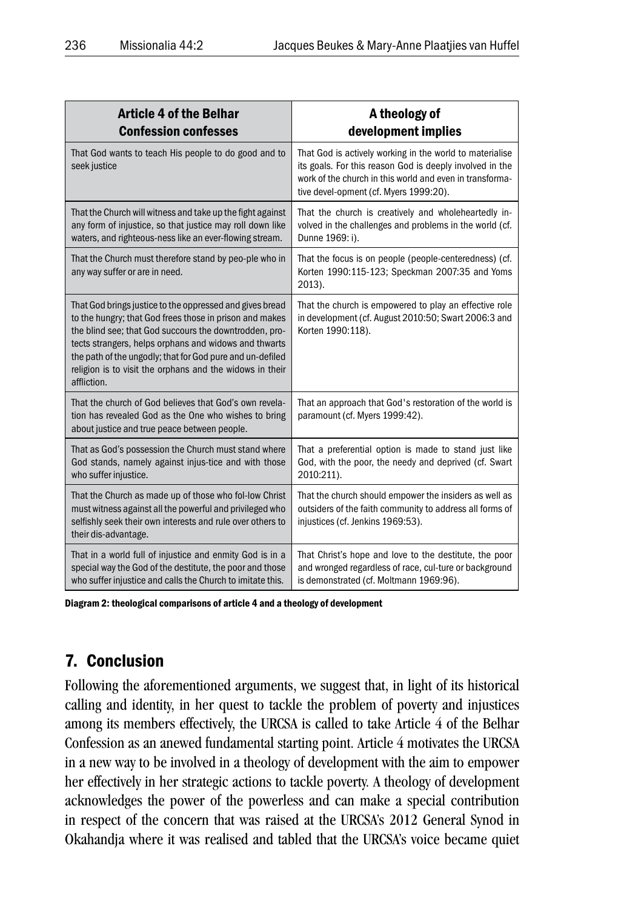| <b>Article 4 of the Belhar</b><br><b>Confession confesses</b>                                                                                                                                                                                                                                                                                                                  | A theology of<br>development implies                                                                                                                                                                                       |  |
|--------------------------------------------------------------------------------------------------------------------------------------------------------------------------------------------------------------------------------------------------------------------------------------------------------------------------------------------------------------------------------|----------------------------------------------------------------------------------------------------------------------------------------------------------------------------------------------------------------------------|--|
| That God wants to teach His people to do good and to<br>seek justice                                                                                                                                                                                                                                                                                                           | That God is actively working in the world to materialise<br>its goals. For this reason God is deeply involved in the<br>work of the church in this world and even in transforma-<br>tive devel-opment (cf. Myers 1999:20). |  |
| That the Church will witness and take up the fight against<br>any form of injustice, so that justice may roll down like<br>waters, and righteous-ness like an ever-flowing stream.                                                                                                                                                                                             | That the church is creatively and wholeheartedly in-<br>volved in the challenges and problems in the world (cf.<br>Dunne 1969: i).                                                                                         |  |
| That the Church must therefore stand by peo-ple who in<br>any way suffer or are in need.                                                                                                                                                                                                                                                                                       | That the focus is on people (people-centeredness) (cf.<br>Korten 1990:115-123; Speckman 2007:35 and Yoms<br>2013).                                                                                                         |  |
| That God brings justice to the oppressed and gives bread<br>to the hungry; that God frees those in prison and makes<br>the blind see; that God succours the downtrodden, pro-<br>tects strangers, helps orphans and widows and thwarts<br>the path of the ungodly; that for God pure and un-defiled<br>religion is to visit the orphans and the widows in their<br>affliction. | That the church is empowered to play an effective role<br>in development (cf. August 2010:50; Swart 2006:3 and<br>Korten 1990:118).                                                                                        |  |
| That the church of God believes that God's own revela-<br>tion has revealed God as the One who wishes to bring<br>about justice and true peace between people.                                                                                                                                                                                                                 | That an approach that God's restoration of the world is<br>paramount (cf. Myers 1999:42).                                                                                                                                  |  |
| That as God's possession the Church must stand where<br>God stands, namely against injus-tice and with those<br>who suffer injustice.                                                                                                                                                                                                                                          | That a preferential option is made to stand just like<br>God, with the poor, the needy and deprived (cf. Swart<br>2010:211).                                                                                               |  |
| That the Church as made up of those who fol-low Christ<br>must witness against all the powerful and privileged who<br>selfishly seek their own interests and rule over others to<br>their dis-advantage.                                                                                                                                                                       | That the church should empower the insiders as well as<br>outsiders of the faith community to address all forms of<br>injustices (cf. Jenkins 1969:53).                                                                    |  |
| That in a world full of injustice and enmity God is in a<br>special way the God of the destitute, the poor and those<br>who suffer injustice and calls the Church to imitate this.                                                                                                                                                                                             | That Christ's hope and love to the destitute, the poor<br>and wronged regardless of race, cul-ture or background<br>is demonstrated (cf. Moltmann 1969:96).                                                                |  |

Diagram 2: theological comparisons of article 4 and a theology of development

### 7. Conclusion

Following the aforementioned arguments, we suggest that, in light of its historical calling and identity, in her quest to tackle the problem of poverty and injustices among its members effectively, the URCSA is called to take Article 4 of the Belhar Confession as an anewed fundamental starting point. Article 4 motivates the URCSA in a new way to be involved in a theology of development with the aim to empower her effectively in her strategic actions to tackle poverty. A theology of development acknowledges the power of the powerless and can make a special contribution in respect of the concern that was raised at the URCSA's 2012 General Synod in Okahandja where it was realised and tabled that the URCSA's voice became quiet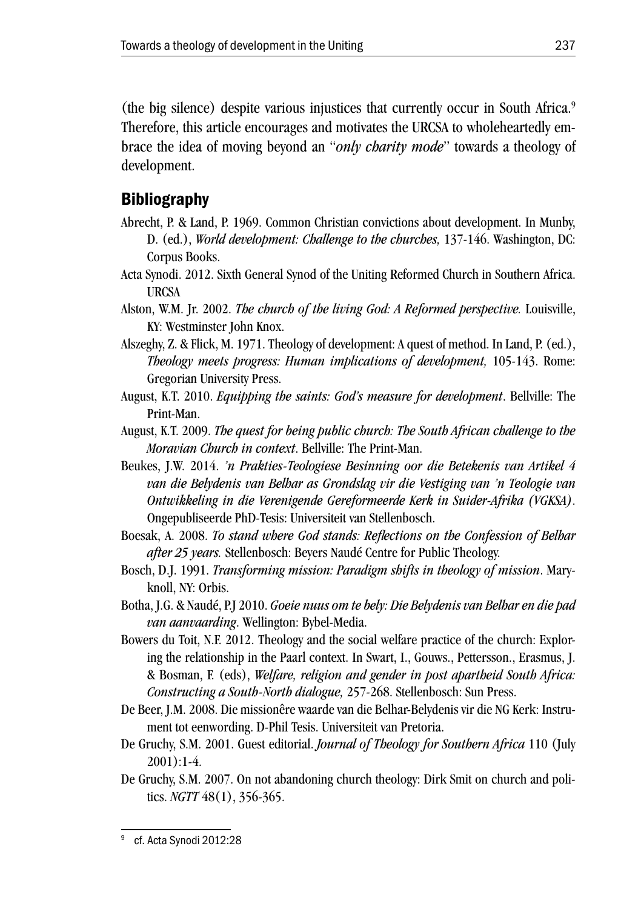(the big silence) despite various injustices that currently occur in South Africa.9 Therefore, this article encourages and motivates the URCSA to wholeheartedly embrace the idea of moving beyond an "*only charity mode*" towards a theology of development.

# Bibliography

- Abrecht, P. & Land, P. 1969. Common Christian convictions about development. In Munby, D. (ed.), *World development: Challenge to the churches,* 137-146. Washington, DC: Corpus Books.
- Acta Synodi. 2012. Sixth General Synod of the Uniting Reformed Church in Southern Africa. URCSA
- Alston, W.M. Jr. 2002. *The church of the living God: A Reformed perspective.* Louisville, KY: Westminster John Knox.
- Alszeghy, Z. & Flick, M. 1971. Theology of development: A quest of method. In Land, P. (ed.), *Theology meets progress: Human implications of development,* 105-143. Rome: Gregorian University Press.
- August, K.T. 2010. *Equipping the saints: God's measure for development*. Bellville: The Print-Man.
- August, K.T. 2009. *The quest for being public church: The South African challenge to the Moravian Church in context*. Bellville: The Print-Man.
- Beukes, J.W. 2014. *'n Prakties-Teologiese Besinning oor die Betekenis van Artikel 4 van die Belydenis van Belhar as Grondslag vir die Vestiging van 'n Teologie van Ontwikkeling in die Verenigende Gereformeerde Kerk in Suider-Afrika (VGKSA)*. Ongepubliseerde PhD-Tesis: Universiteit van Stellenbosch.
- Boesak, A. 2008. *To stand where God stands: Reflections on the Confession of Belhar after 25 years.* Stellenbosch: Beyers Naudé Centre for Public Theology.
- Bosch, D.J. 1991. *Transforming mission: Paradigm shifts in theology of mission*. Maryknoll, NY: Orbis.
- Botha, J.G. & Naudé, P.J 2010. *Goeie nuus om te bely: Die Belydenis van Belhar en die pad van aanvaarding*. Wellington: Bybel-Media.
- Bowers du Toit, N.F. 2012. Theology and the social welfare practice of the church: Exploring the relationship in the Paarl context. In Swart, I., Gouws., Pettersson., Erasmus, J. & Bosman, F. (eds), *Welfare, religion and gender in post apartheid South Africa: Constructing a South-North dialogue,* 257-268. Stellenbosch: Sun Press.
- De Beer, J.M. 2008. Die missionêre waarde van die Belhar-Belydenis vir die NG Kerk: Instrument tot eenwording. D-Phil Tesis. Universiteit van Pretoria.
- De Gruchy, S.M. 2001. Guest editorial. *Journal of Theology for Southern Africa* 110 (July 2001):1-4.
- De Gruchy, S.M. 2007. On not abandoning church theology: Dirk Smit on church and politics. *NGTT* 48(1), 356-365.

<sup>&</sup>lt;sup>9</sup> cf. Acta Synodi 2012:28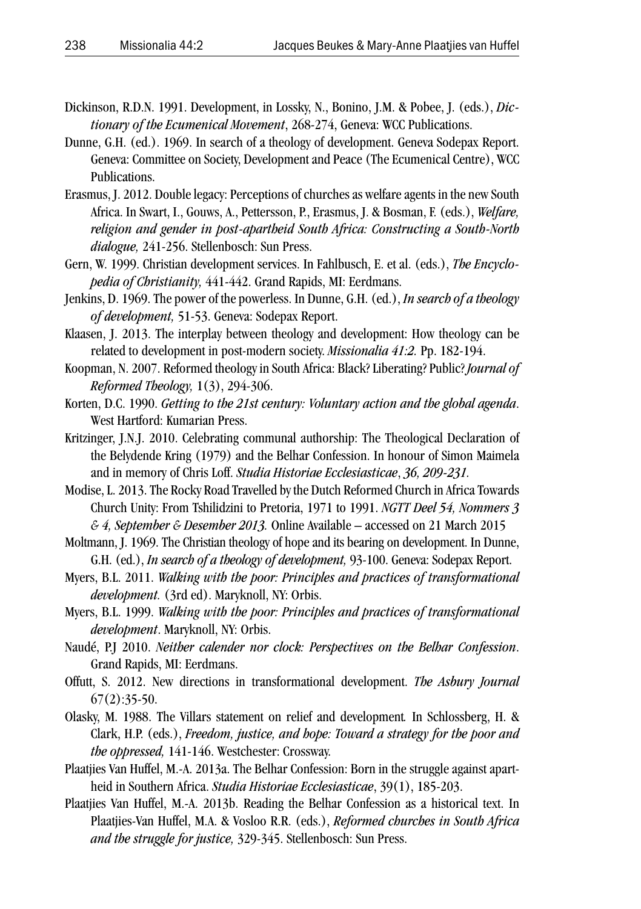- Dickinson, R.D.N. 1991. Development, in Lossky, N., Bonino, J.M. & Pobee, J. (eds.), *Dictionary of the Ecumenical Movement*, 268-274, Geneva: WCC Publications.
- Dunne, G.H. (ed.). 1969. In search of a theology of development. Geneva Sodepax Report. Geneva: Committee on Society, Development and Peace (The Ecumenical Centre), WCC Publications.
- Erasmus, J. 2012. Double legacy: Perceptions of churches as welfare agents in the new South Africa. In Swart, I., Gouws, A., Pettersson, P., Erasmus, J. & Bosman, F. (eds.), *Welfare, religion and gender in post-apartheid South Africa: Constructing a South-North dialogue,* 241-256. Stellenbosch: Sun Press.
- Gern, W. 1999. Christian development services. In Fahlbusch, E. et al. (eds.), *The Encyclopedia of Christianity,* 441-442. Grand Rapids, MI: Eerdmans.
- Jenkins, D. 1969. The power of the powerless. In Dunne, G.H. (ed.), *In search of a theology of development,* 51-53. Geneva: Sodepax Report.
- Klaasen, J. 2013. The interplay between theology and development: How theology can be related to development in post-modern society. *Missionalia 41:2.* Pp. 182-194.
- Koopman, N. 2007. Reformed theology in South Africa: Black? Liberating? Public? *Journal of Reformed Theology,* 1(3), 294-306.
- Korten, D.C. 1990. *Getting to the 21st century: Voluntary action and the global agenda*. West Hartford: Kumarian Press.
- Kritzinger, J.N.J. 2010. Celebrating communal authorship: The Theological Declaration of the Belydende Kring (1979) and the Belhar Confession. In honour of Simon Maimela and in memory of Chris Loff. *Studia Historiae Ecclesiasticae*, *36, 209-231.*
- Modise, L. 2013. The Rocky Road Travelled by the Dutch Reformed Church in Africa Towards Church Unity: From Tshilidzini to Pretoria, 1971 to 1991. *NGTT Deel 54, Nommers 3 & 4, September & Desember 2013.* Online Available – accessed on 21 March 2015
- Moltmann, J. 1969. The Christian theology of hope and its bearing on development. In Dunne, G.H. (ed.), *In search of a theology of development,* 93-100. Geneva: Sodepax Report.
- Myers, B.L. 2011. *Walking with the poor: Principles and practices of transformational development.* (3rd ed). Maryknoll, NY: Orbis.
- Myers, B.L. 1999. *Walking with the poor: Principles and practices of transformational development*. Maryknoll, NY: Orbis.
- Naudé, P.J 2010. *Neither calender nor clock: Perspectives on the Belhar Confession*. Grand Rapids, MI: Eerdmans.
- Offutt, S. 2012. New directions in transformational development. *The Asbury Journal*  $67(2):35-50.$
- Olasky, M. 1988. The Villars statement on relief and development*.* In Schlossberg, H. & Clark, H.P. (eds.), *Freedom, justice, and hope: Toward a strategy for the poor and the oppressed,* 141-146. Westchester: Crossway.
- Plaatjies Van Huffel, M.-A. 2013a. The Belhar Confession: Born in the struggle against apartheid in Southern Africa. *Studia Historiae Ecclesiasticae*, 39(1), 185-203.
- Plaatjies Van Huffel, M.-A. 2013b. Reading the Belhar Confession as a historical text. In Plaatjies-Van Huffel, M.A. & Vosloo R.R. (eds.), *Reformed churches in South Africa and the struggle for justice,* 329-345. Stellenbosch: Sun Press.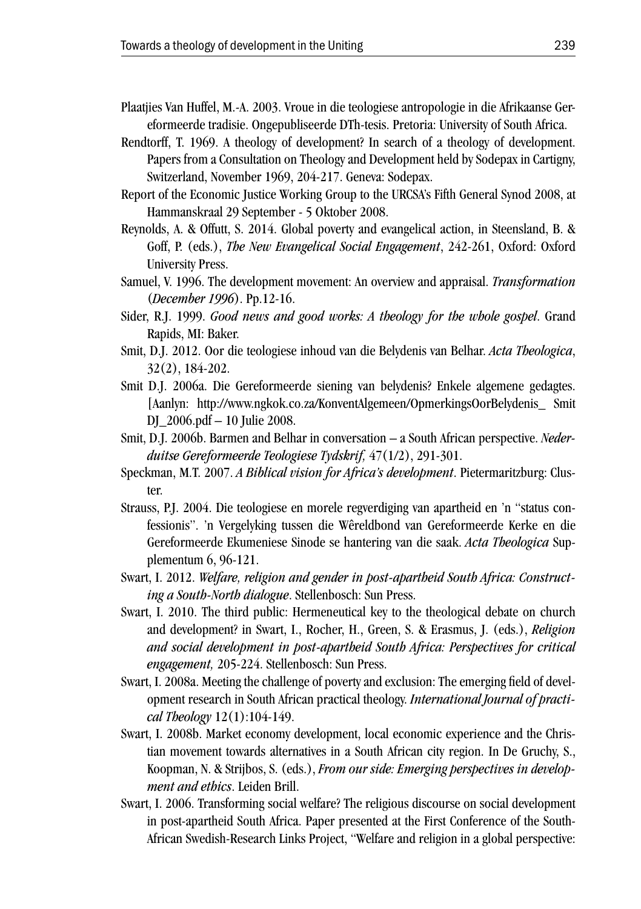- Plaatjies Van Huffel, M.-A. 2003. Vroue in die teologiese antropologie in die Afrikaanse Gereformeerde tradisie. Ongepubliseerde DTh-tesis. Pretoria: University of South Africa.
- Rendtorff, T. 1969. A theology of development? In search of a theology of development. Papers from a Consultation on Theology and Development held by Sodepax in Cartigny, Switzerland, November 1969, 204-217. Geneva: Sodepax.
- Report of the Economic Justice Working Group to the URCSA's Fifth General Synod 2008, at Hammanskraal 29 September - 5 Oktober 2008.
- Reynolds, A. & Offutt, S. 2014. Global poverty and evangelical action, in Steensland, B. & Goff, P. (eds.), *The New Evangelical Social Engagement*, 242-261, Oxford: Oxford University Press.
- Samuel, V. 1996. The development movement: An overview and appraisal. *Transformation* (*December 1996*). Pp.12-16.
- Sider, R.J. 1999. *Good news and good works: A theology for the whole gospel*. Grand Rapids, MI: Baker.
- Smit, D.J. 2012. Oor die teologiese inhoud van die Belydenis van Belhar. *Acta Theologica*, 32(2), 184-202.
- Smit D.J. 2006a. Die Gereformeerde siening van belydenis? Enkele algemene gedagtes. [Aanlyn: http://www.ngkok.co.za/KonventAlgemeen/OpmerkingsOorBelydenis\_ Smit DJ\_2006.pdf – 10 Julie 2008.
- Smit, D.J. 2006b. Barmen and Belhar in conversation a South African perspective. *Nederduitse Gereformeerde Teologiese Tydskrif,* 47(1/2), 291-301.
- Speckman, M.T. 2007. *A Biblical vision for Africa's development*. Pietermaritzburg: Cluster.
- Strauss, P.J. 2004. Die teologiese en morele regverdiging van apartheid en 'n "status confessionis". 'n Vergelyking tussen die Wêreldbond van Gereformeerde Kerke en die Gereformeerde Ekumeniese Sinode se hantering van die saak. *Acta Theologica* Supplementum 6, 96-121.
- Swart, I. 2012. *Welfare, religion and gender in post-apartheid South Africa: Constructing a South-North dialogue*. Stellenbosch: Sun Press.
- Swart, I. 2010. The third public: Hermeneutical key to the theological debate on church and development? in Swart, I., Rocher, H., Green, S. & Erasmus, J. (eds.), *Religion and social development in post-apartheid South Africa: Perspectives for critical engagement,* 205-224. Stellenbosch: Sun Press.
- Swart, I. 2008a. Meeting the challenge of poverty and exclusion: The emerging field of development research in South African practical theology. *International Journal of practical Theology* 12(1):104-149.
- Swart, I. 2008b. Market economy development, local economic experience and the Christian movement towards alternatives in a South African city region. In De Gruchy, S., Koopman, N. & Strijbos, S. (eds.), *From our side: Emerging perspectives in development and ethics*. Leiden Brill.
- Swart, I. 2006. Transforming social welfare? The religious discourse on social development in post-apartheid South Africa. Paper presented at the First Conference of the South-African Swedish-Research Links Project, "Welfare and religion in a global perspective: